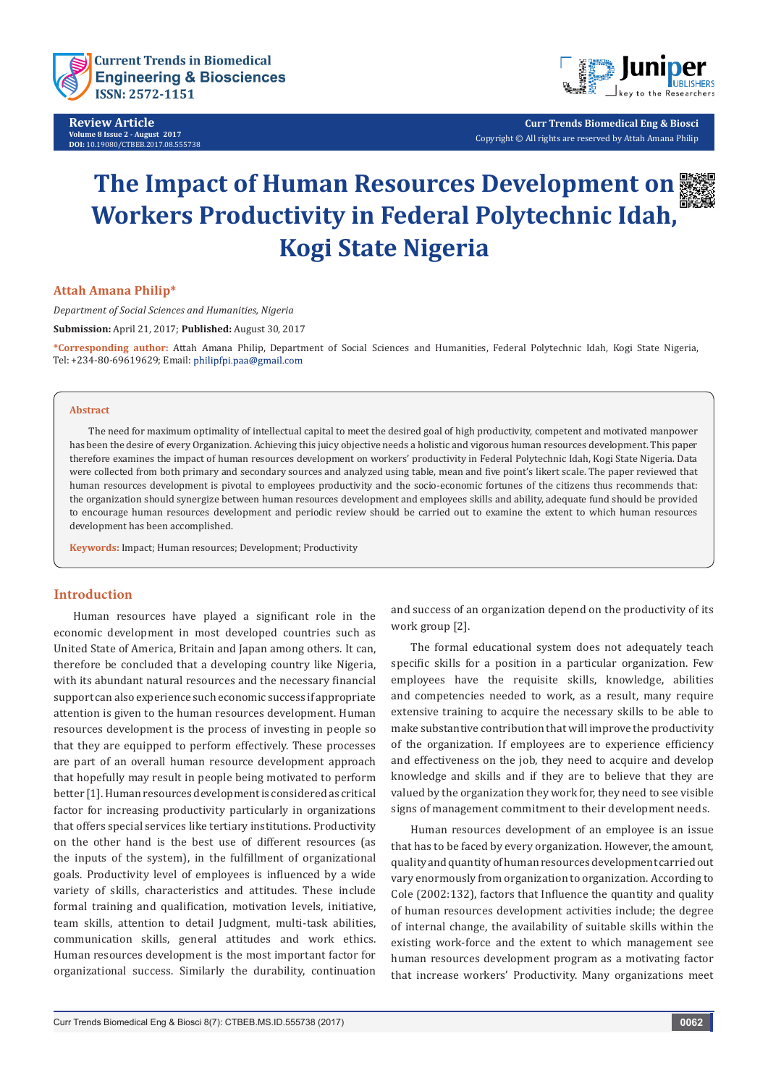

**Review Article Volume 8 Issue 2 - August 2017 DOI:** [10.19080/CTBEB.2017.08.555738](http://dx.doi.org/10.19080/CTBEB.2017.08.555738
)



**Curr Trends Biomedical Eng & Biosci** Copyright © All rights are reserved by Attah Amana Philip

# **The Impact of Human Resources Development on Workers Productivity in Federal Polytechnic Idah, Kogi State Nigeria**

## **Attah Amana Philip\***

*Department of Social Sciences and Humanities, Nigeria*

**Submission:** April 21, 2017; **Published:** August 30, 2017

**\*Corresponding author:** Attah Amana Philip, Department of Social Sciences and Humanities, Federal Polytechnic Idah, Kogi State Nigeria, Tel: +234-80-69619629; Email: philipfpi.paa@gmail.com

#### **Abstract**

The need for maximum optimality of intellectual capital to meet the desired goal of high productivity, competent and motivated manpower has been the desire of every Organization. Achieving this juicy objective needs a holistic and vigorous human resources development. This paper therefore examines the impact of human resources development on workers' productivity in Federal Polytechnic Idah, Kogi State Nigeria. Data were collected from both primary and secondary sources and analyzed using table, mean and five point's likert scale. The paper reviewed that human resources development is pivotal to employees productivity and the socio-economic fortunes of the citizens thus recommends that: the organization should synergize between human resources development and employees skills and ability, adequate fund should be provided to encourage human resources development and periodic review should be carried out to examine the extent to which human resources development has been accomplished.

**Keywords:** Impact; Human resources; Development; Productivity

## **Introduction**

Human resources have played a significant role in the economic development in most developed countries such as United State of America, Britain and Japan among others. It can, therefore be concluded that a developing country like Nigeria, with its abundant natural resources and the necessary financial support can also experience such economic success if appropriate attention is given to the human resources development. Human resources development is the process of investing in people so that they are equipped to perform effectively. These processes are part of an overall human resource development approach that hopefully may result in people being motivated to perform better [1]. Human resources development is considered as critical factor for increasing productivity particularly in organizations that offers special services like tertiary institutions. Productivity on the other hand is the best use of different resources (as the inputs of the system), in the fulfillment of organizational goals. Productivity level of employees is influenced by a wide variety of skills, characteristics and attitudes. These include formal training and qualification, motivation levels, initiative, team skills, attention to detail Judgment, multi-task abilities, communication skills, general attitudes and work ethics. Human resources development is the most important factor for organizational success. Similarly the durability, continuation

and success of an organization depend on the productivity of its work group [2].

The formal educational system does not adequately teach specific skills for a position in a particular organization. Few employees have the requisite skills, knowledge, abilities and competencies needed to work, as a result, many require extensive training to acquire the necessary skills to be able to make substantive contribution that will improve the productivity of the organization. If employees are to experience efficiency and effectiveness on the job, they need to acquire and develop knowledge and skills and if they are to believe that they are valued by the organization they work for, they need to see visible signs of management commitment to their development needs.

Human resources development of an employee is an issue that has to be faced by every organization. However, the amount, quality and quantity of human resources development carried out vary enormously from organization to organization. According to Cole (2002:132), factors that Influence the quantity and quality of human resources development activities include; the degree of internal change, the availability of suitable skills within the existing work-force and the extent to which management see human resources development program as a motivating factor that increase workers' Productivity. Many organizations meet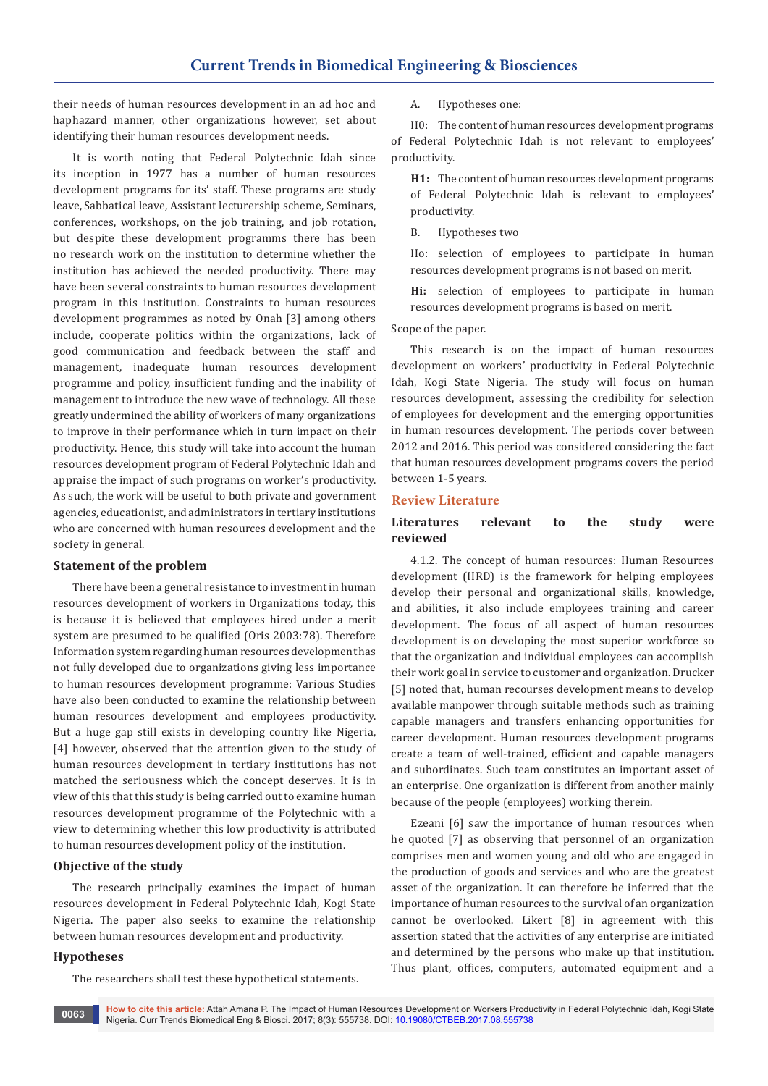their needs of human resources development in an ad hoc and haphazard manner, other organizations however, set about identifying their human resources development needs.

It is worth noting that Federal Polytechnic Idah since its inception in 1977 has a number of human resources development programs for its' staff. These programs are study leave, Sabbatical leave, Assistant lecturership scheme, Seminars, conferences, workshops, on the job training, and job rotation, but despite these development programms there has been no research work on the institution to determine whether the institution has achieved the needed productivity. There may have been several constraints to human resources development program in this institution. Constraints to human resources development programmes as noted by Onah [3] among others include, cooperate politics within the organizations, lack of good communication and feedback between the staff and management, inadequate human resources development programme and policy, insufficient funding and the inability of management to introduce the new wave of technology. All these greatly undermined the ability of workers of many organizations to improve in their performance which in turn impact on their productivity. Hence, this study will take into account the human resources development program of Federal Polytechnic Idah and appraise the impact of such programs on worker's productivity. As such, the work will be useful to both private and government agencies, educationist, and administrators in tertiary institutions who are concerned with human resources development and the society in general.

## **Statement of the problem**

There have been a general resistance to investment in human resources development of workers in Organizations today, this is because it is believed that employees hired under a merit system are presumed to be qualified (Oris 2003:78). Therefore Information system regarding human resources development has not fully developed due to organizations giving less importance to human resources development programme: Various Studies have also been conducted to examine the relationship between human resources development and employees productivity. But a huge gap still exists in developing country like Nigeria, [4] however, observed that the attention given to the study of human resources development in tertiary institutions has not matched the seriousness which the concept deserves. It is in view of this that this study is being carried out to examine human resources development programme of the Polytechnic with a view to determining whether this low productivity is attributed to human resources development policy of the institution.

#### **Objective of the study**

The research principally examines the impact of human resources development in Federal Polytechnic Idah, Kogi State Nigeria. The paper also seeks to examine the relationship between human resources development and productivity.

## **Hypotheses**

The researchers shall test these hypothetical statements.

A. Hypotheses one:

H0: The content of human resources development programs of Federal Polytechnic Idah is not relevant to employees' productivity.

**H1:** The content of human resources development programs of Federal Polytechnic Idah is relevant to employees' productivity.

B. Hypotheses two

Ho: selection of employees to participate in human resources development programs is not based on merit.

**Hi:** selection of employees to participate in human resources development programs is based on merit.

Scope of the paper.

This research is on the impact of human resources development on workers' productivity in Federal Polytechnic Idah, Kogi State Nigeria. The study will focus on human resources development, assessing the credibility for selection of employees for development and the emerging opportunities in human resources development. The periods cover between 2012 and 2016. This period was considered considering the fact that human resources development programs covers the period between 1-5 years.

#### **Review Literature**

## **Literatures relevant to the study were reviewed**

4.1.2. The concept of human resources: Human Resources development (HRD) is the framework for helping employees develop their personal and organizational skills, knowledge, and abilities, it also include employees training and career development. The focus of all aspect of human resources development is on developing the most superior workforce so that the organization and individual employees can accomplish their work goal in service to customer and organization. Drucker [5] noted that, human recourses development means to develop available manpower through suitable methods such as training capable managers and transfers enhancing opportunities for career development. Human resources development programs create a team of well-trained, efficient and capable managers and subordinates. Such team constitutes an important asset of an enterprise. One organization is different from another mainly because of the people (employees) working therein.

Ezeani [6] saw the importance of human resources when he quoted [7] as observing that personnel of an organization comprises men and women young and old who are engaged in the production of goods and services and who are the greatest asset of the organization. It can therefore be inferred that the importance of human resources to the survival of an organization cannot be overlooked. Likert [8] in agreement with this assertion stated that the activities of any enterprise are initiated and determined by the persons who make up that institution. Thus plant, offices, computers, automated equipment and a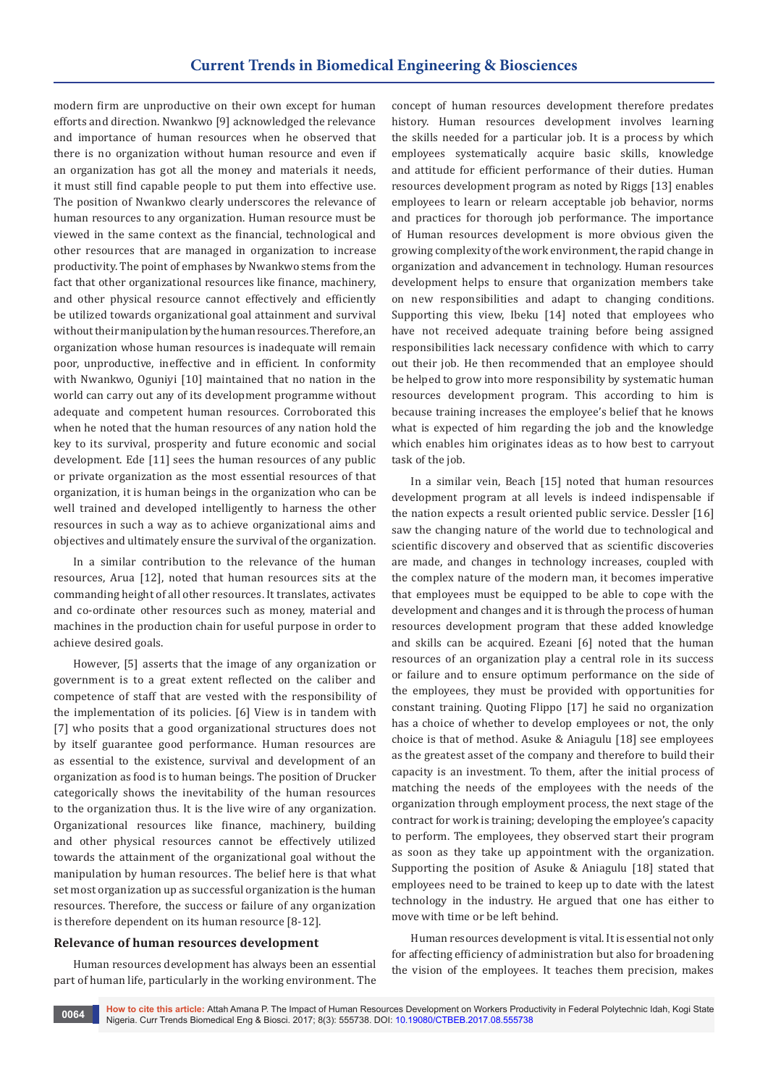modern firm are unproductive on their own except for human efforts and direction. Nwankwo [9] acknowledged the relevance and importance of human resources when he observed that there is no organization without human resource and even if an organization has got all the money and materials it needs, it must still find capable people to put them into effective use. The position of Nwankwo clearly underscores the relevance of human resources to any organization. Human resource must be viewed in the same context as the financial, technological and other resources that are managed in organization to increase productivity. The point of emphases by Nwankwo stems from the fact that other organizational resources like finance, machinery, and other physical resource cannot effectively and efficiently be utilized towards organizational goal attainment and survival without their manipulation by the human resources. Therefore, an organization whose human resources is inadequate will remain poor, unproductive, ineffective and in efficient. In conformity with Nwankwo, Oguniyi [10] maintained that no nation in the world can carry out any of its development programme without adequate and competent human resources. Corroborated this when he noted that the human resources of any nation hold the key to its survival, prosperity and future economic and social development. Ede [11] sees the human resources of any public or private organization as the most essential resources of that organization, it is human beings in the organization who can be well trained and developed intelligently to harness the other resources in such a way as to achieve organizational aims and objectives and ultimately ensure the survival of the organization.

In a similar contribution to the relevance of the human resources, Arua [12], noted that human resources sits at the commanding height of all other resources. It translates, activates and co-ordinate other resources such as money, material and machines in the production chain for useful purpose in order to achieve desired goals.

However, [5] asserts that the image of any organization or government is to a great extent reflected on the caliber and competence of staff that are vested with the responsibility of the implementation of its policies. [6] View is in tandem with [7] who posits that a good organizational structures does not by itself guarantee good performance. Human resources are as essential to the existence, survival and development of an organization as food is to human beings. The position of Drucker categorically shows the inevitability of the human resources to the organization thus. It is the live wire of any organization. Organizational resources like finance, machinery, building and other physical resources cannot be effectively utilized towards the attainment of the organizational goal without the manipulation by human resources. The belief here is that what set most organization up as successful organization is the human resources. Therefore, the success or failure of any organization is therefore dependent on its human resource [8-12].

## **Relevance of human resources development**

Human resources development has always been an essential part of human life, particularly in the working environment. The

concept of human resources development therefore predates history. Human resources development involves learning the skills needed for a particular job. It is a process by which employees systematically acquire basic skills, knowledge and attitude for efficient performance of their duties. Human resources development program as noted by Riggs [13] enables employees to learn or relearn acceptable job behavior, norms and practices for thorough job performance. The importance of Human resources development is more obvious given the growing complexity of the work environment, the rapid change in organization and advancement in technology. Human resources development helps to ensure that organization members take on new responsibilities and adapt to changing conditions. Supporting this view, Ibeku [14] noted that employees who have not received adequate training before being assigned responsibilities lack necessary confidence with which to carry out their job. He then recommended that an employee should be helped to grow into more responsibility by systematic human resources development program. This according to him is because training increases the employee's belief that he knows what is expected of him regarding the job and the knowledge which enables him originates ideas as to how best to carryout task of the job.

In a similar vein, Beach [15] noted that human resources development program at all levels is indeed indispensable if the nation expects a result oriented public service. Dessler [16] saw the changing nature of the world due to technological and scientific discovery and observed that as scientific discoveries are made, and changes in technology increases, coupled with the complex nature of the modern man, it becomes imperative that employees must be equipped to be able to cope with the development and changes and it is through the process of human resources development program that these added knowledge and skills can be acquired. Ezeani [6] noted that the human resources of an organization play a central role in its success or failure and to ensure optimum performance on the side of the employees, they must be provided with opportunities for constant training. Quoting Flippo [17] he said no organization has a choice of whether to develop employees or not, the only choice is that of method. Asuke & Aniagulu [18] see employees as the greatest asset of the company and therefore to build their capacity is an investment. To them, after the initial process of matching the needs of the employees with the needs of the organization through employment process, the next stage of the contract for work is training; developing the employee's capacity to perform. The employees, they observed start their program as soon as they take up appointment with the organization. Supporting the position of Asuke & Aniagulu [18] stated that employees need to be trained to keep up to date with the latest technology in the industry. He argued that one has either to move with time or be left behind.

Human resources development is vital. It is essential not only for affecting efficiency of administration but also for broadening the vision of the employees. It teaches them precision, makes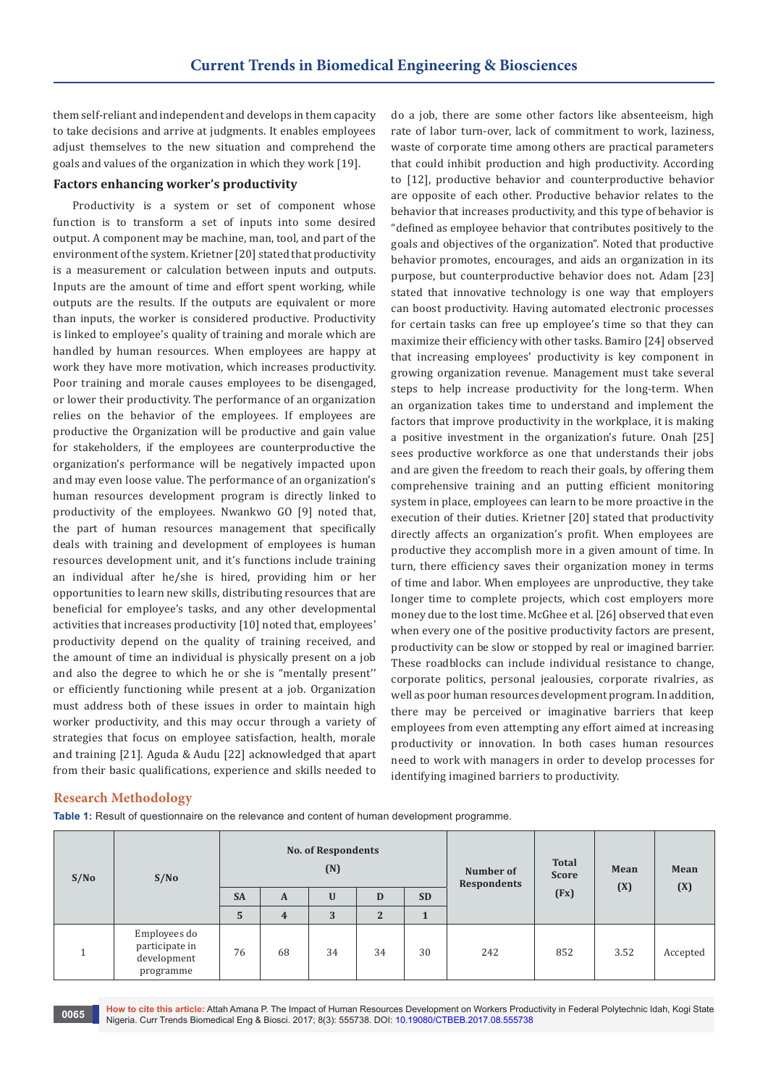them self-reliant and independent and develops in them capacity to take decisions and arrive at judgments. It enables employees adjust themselves to the new situation and comprehend the goals and values of the organization in which they work [19].

## **Factors enhancing worker's productivity**

Productivity is a system or set of component whose function is to transform a set of inputs into some desired output. A component may be machine, man, tool, and part of the environment of the system. Krietner [20] stated that productivity is a measurement or calculation between inputs and outputs. Inputs are the amount of time and effort spent working, while outputs are the results. If the outputs are equivalent or more than inputs, the worker is considered productive. Productivity is linked to employee's quality of training and morale which are handled by human resources. When employees are happy at work they have more motivation, which increases productivity. Poor training and morale causes employees to be disengaged, or lower their productivity. The performance of an organization relies on the behavior of the employees. If employees are productive the Organization will be productive and gain value for stakeholders, if the employees are counterproductive the organization's performance will be negatively impacted upon and may even loose value. The performance of an organization's human resources development program is directly linked to productivity of the employees. Nwankwo GO [9] noted that, the part of human resources management that specifically deals with training and development of employees is human resources development unit, and it's functions include training an individual after he/she is hired, providing him or her opportunities to learn new skills, distributing resources that are beneficial for employee's tasks, and any other developmental activities that increases productivity [10] noted that, employees' productivity depend on the quality of training received, and the amount of time an individual is physically present on a job and also the degree to which he or she is "mentally present'' or efficiently functioning while present at a job. Organization must address both of these issues in order to maintain high worker productivity, and this may occur through a variety of strategies that focus on employee satisfaction, health, morale and training [21]. Aguda & Audu [22] acknowledged that apart from their basic qualifications, experience and skills needed to

do a job, there are some other factors like absenteeism, high rate of labor turn-over, lack of commitment to work, laziness, waste of corporate time among others are practical parameters that could inhibit production and high productivity. According to [12], productive behavior and counterproductive behavior are opposite of each other. Productive behavior relates to the behavior that increases productivity, and this type of behavior is "defined as employee behavior that contributes positively to the goals and objectives of the organization". Noted that productive behavior promotes, encourages, and aids an organization in its purpose, but counterproductive behavior does not. Adam [23] stated that innovative technology is one way that employers can boost productivity. Having automated electronic processes for certain tasks can free up employee's time so that they can maximize their efficiency with other tasks. Bamiro [24] observed that increasing employees' productivity is key component in growing organization revenue. Management must take several steps to help increase productivity for the long-term. When an organization takes time to understand and implement the factors that improve productivity in the workplace, it is making a positive investment in the organization's future. Onah [25] sees productive workforce as one that understands their jobs and are given the freedom to reach their goals, by offering them comprehensive training and an putting efficient monitoring system in place, employees can learn to be more proactive in the execution of their duties. Krietner [20] stated that productivity directly affects an organization's profit. When employees are productive they accomplish more in a given amount of time. In turn, there efficiency saves their organization money in terms of time and labor. When employees are unproductive, they take longer time to complete projects, which cost employers more money due to the lost time. McGhee et al. [26] observed that even when every one of the positive productivity factors are present, productivity can be slow or stopped by real or imagined barrier. These roadblocks can include individual resistance to change, corporate politics, personal jealousies, corporate rivalries, as well as poor human resources development program. In addition, there may be perceived or imaginative barriers that keep employees from even attempting any effort aimed at increasing productivity or innovation. In both cases human resources need to work with managers in order to develop processes for identifying imagined barriers to productivity.

## **Research Methodology**

**Table 1:** Result of questionnaire on the relevance and content of human development programme.

| S/No | S/No                                                       | <b>No. of Respondents</b><br>(N) |                         |             |                |           | Number of<br><b>Respondents</b> | <b>Total</b><br><b>Score</b> | Mean | Mean     |
|------|------------------------------------------------------------|----------------------------------|-------------------------|-------------|----------------|-----------|---------------------------------|------------------------------|------|----------|
|      |                                                            | <b>SA</b>                        | $\mathbf{A}$            | $\mathbf U$ | D              | <b>SD</b> |                                 | (Fx)                         | (X)  | (X)      |
|      |                                                            | 5                                | $\overline{\mathbf{4}}$ | 3           | $\overline{2}$ | 1         |                                 |                              |      |          |
|      | Employees do<br>participate in<br>development<br>programme | 76                               | 68                      | 34          | 34             | 30        | 242                             | 852                          | 3.52 | Accepted |

**How to cite this article:** Attah Amana P. The Impact of Human Resources Development on Workers Productivity in Federal Polytechnic Idah, Kogi State Nigeria. Curr Trends Biomedical Eng & Biosci. 2017; 8(3): 555738. DOI: [10.19080/CTBEB.2017.08.555738](http://dx.doi.org/10.19080/CTBEB.2017.08.555738
) **<sup>0065</sup>**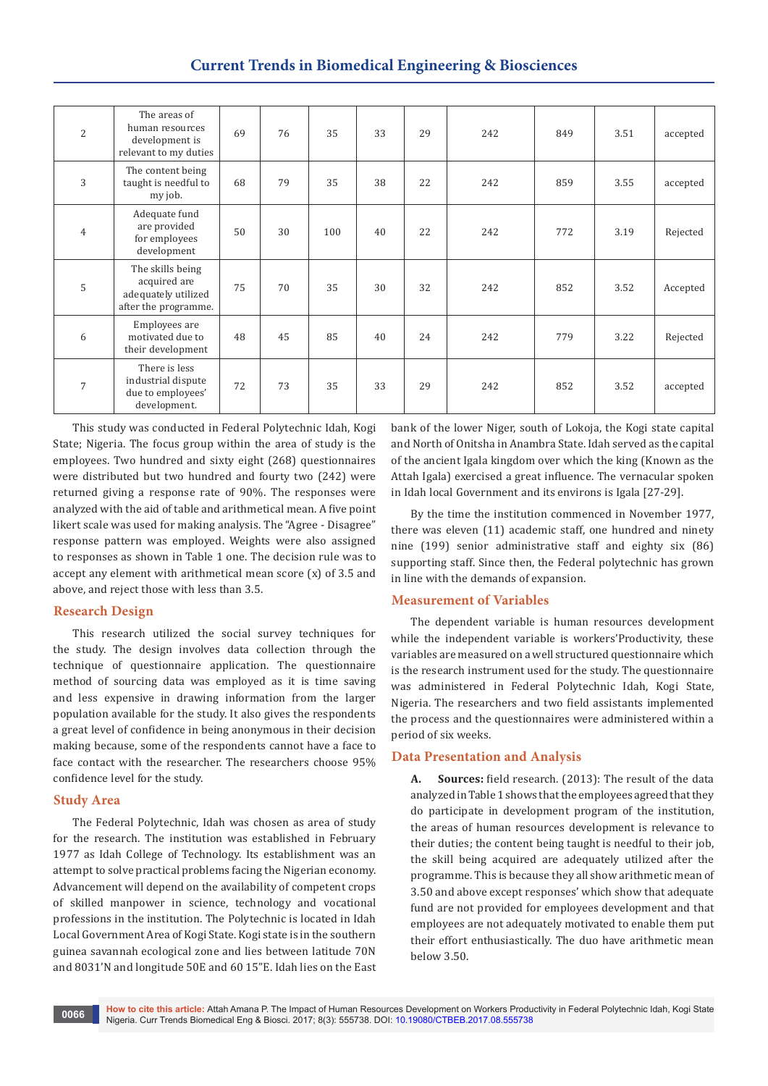| $\overline{2}$ | The areas of<br>human resources<br>development is<br>relevant to my duties      | 69 | 76 | 35  | 33 | 29 | 242 | 849 | 3.51 | accepted |
|----------------|---------------------------------------------------------------------------------|----|----|-----|----|----|-----|-----|------|----------|
| 3              | The content being<br>taught is needful to<br>my job.                            | 68 | 79 | 35  | 38 | 22 | 242 | 859 | 3.55 | accepted |
| $\overline{4}$ | Adequate fund<br>are provided<br>for employees<br>development                   | 50 | 30 | 100 | 40 | 22 | 242 | 772 | 3.19 | Rejected |
| 5              | The skills being<br>acquired are<br>adequately utilized<br>after the programme. | 75 | 70 | 35  | 30 | 32 | 242 | 852 | 3.52 | Accepted |
| 6              | Employees are<br>motivated due to<br>their development                          | 48 | 45 | 85  | 40 | 24 | 242 | 779 | 3.22 | Rejected |
| $\overline{7}$ | There is less<br>industrial dispute<br>due to employees'<br>development.        | 72 | 73 | 35  | 33 | 29 | 242 | 852 | 3.52 | accepted |

This study was conducted in Federal Polytechnic Idah, Kogi State; Nigeria. The focus group within the area of study is the employees. Two hundred and sixty eight (268) questionnaires were distributed but two hundred and fourty two (242) were returned giving a response rate of 90%. The responses were analyzed with the aid of table and arithmetical mean. A five point likert scale was used for making analysis. The "Agree - Disagree" response pattern was employed. Weights were also assigned to responses as shown in Table 1 one. The decision rule was to accept any element with arithmetical mean score (x) of 3.5 and above, and reject those with less than 3.5.

## **Research Design**

This research utilized the social survey techniques for the study. The design involves data collection through the technique of questionnaire application. The questionnaire method of sourcing data was employed as it is time saving and less expensive in drawing information from the larger population available for the study. It also gives the respondents a great level of confidence in being anonymous in their decision making because, some of the respondents cannot have a face to face contact with the researcher. The researchers choose 95% confidence level for the study.

## **Study Area**

The Federal Polytechnic, Idah was chosen as area of study for the research. The institution was established in February 1977 as Idah College of Technology. Its establishment was an attempt to solve practical problems facing the Nigerian economy. Advancement will depend on the availability of competent crops of skilled manpower in science, technology and vocational professions in the institution. The Polytechnic is located in Idah Local Government Area of Kogi State. Kogi state is in the southern guinea savannah ecological zone and lies between latitude 70N and 8031'N and longitude 50E and 60 15"E. Idah lies on the East

bank of the lower Niger, south of Lokoja, the Kogi state capital and North of Onitsha in Anambra State. Idah served as the capital of the ancient Igala kingdom over which the king (Known as the Attah Igala) exercised a great influence. The vernacular spoken in Idah local Government and its environs is Igala [27-29].

By the time the institution commenced in November 1977, there was eleven (11) academic staff, one hundred and ninety nine (199) senior administrative staff and eighty six (86) supporting staff. Since then, the Federal polytechnic has grown in line with the demands of expansion.

# **Measurement of Variables**

The dependent variable is human resources development while the independent variable is workers'Productivity, these variables are measured on a well structured questionnaire which is the research instrument used for the study. The questionnaire was administered in Federal Polytechnic Idah, Kogi State, Nigeria. The researchers and two field assistants implemented the process and the questionnaires were administered within a period of six weeks.

# **Data Presentation and Analysis**

**A. Sources:** field research. (2013): The result of the data analyzed in Table 1 shows that the employees agreed that they do participate in development program of the institution, the areas of human resources development is relevance to their duties; the content being taught is needful to their job, the skill being acquired are adequately utilized after the programme. This is because they all show arithmetic mean of 3.50 and above except responses' which show that adequate fund are not provided for employees development and that employees are not adequately motivated to enable them put their effort enthusiastically. The duo have arithmetic mean below 3.50.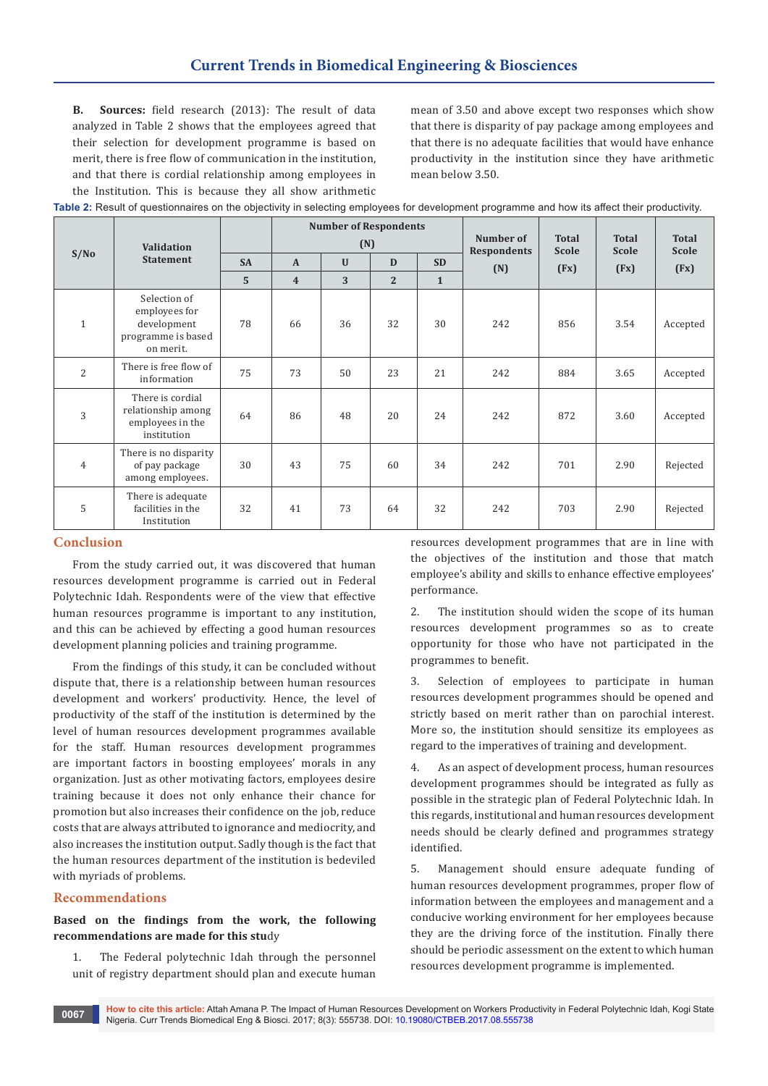**B. Sources:** field research (2013): The result of data analyzed in Table 2 shows that the employees agreed that their selection for development programme is based on merit, there is free flow of communication in the institution, and that there is cordial relationship among employees in the Institution. This is because they all show arithmetic

mean of 3.50 and above except two responses which show that there is disparity of pay package among employees and that there is no adequate facilities that would have enhance productivity in the institution since they have arithmetic mean below 3.50.

| Table 2: Result of questionnaires on the objectivity in selecting employees for development programme and how its affect their productivity. |  |  |                      |  |  |  |  |  |  |  |
|----------------------------------------------------------------------------------------------------------------------------------------------|--|--|----------------------|--|--|--|--|--|--|--|
|                                                                                                                                              |  |  | Number of Decondents |  |  |  |  |  |  |  |

|                |                                                                                 |           |                         | <b>Number of Respondents</b> |                |              |                                 |                              |                              |                              |
|----------------|---------------------------------------------------------------------------------|-----------|-------------------------|------------------------------|----------------|--------------|---------------------------------|------------------------------|------------------------------|------------------------------|
| S/No           | Validation<br><b>Statement</b>                                                  |           | (N)                     |                              |                |              | Number of<br><b>Respondents</b> | <b>Total</b><br><b>Scole</b> | <b>Total</b><br><b>Scole</b> | <b>Total</b><br><b>Scole</b> |
|                |                                                                                 | <b>SA</b> | $\mathbf{A}$            | $\mathbf{U}$                 | D              | <b>SD</b>    | (N)                             | (Fx)                         | (Fx)                         | (Fx)                         |
|                |                                                                                 | 5         | $\overline{\mathbf{4}}$ | 3                            | $\overline{2}$ | $\mathbf{1}$ |                                 |                              |                              |                              |
| $\mathbf{1}$   | Selection of<br>employees for<br>development<br>programme is based<br>on merit. | 78        | 66                      | 36                           | 32             | 30           | 242                             | 856                          | 3.54                         | Accepted                     |
| $\overline{2}$ | There is free flow of<br>information                                            | 75        | 73                      | 50                           | 23             | 21           | 242                             | 884                          | 3.65                         | Accepted                     |
| 3              | There is cordial<br>relationship among<br>employees in the<br>institution       | 64        | 86                      | 48                           | 20             | 24           | 242                             | 872                          | 3.60                         | Accepted                     |
| $\overline{4}$ | There is no disparity<br>of pay package<br>among employees.                     | 30        | 43                      | 75                           | 60             | 34           | 242                             | 701                          | 2.90                         | Rejected                     |
| 5              | There is adequate<br>facilities in the<br>Institution                           | 32        | 41                      | 73                           | 64             | 32           | 242                             | 703                          | 2.90                         | Rejected                     |

## **Conclusion**

From the study carried out, it was discovered that human resources development programme is carried out in Federal Polytechnic Idah. Respondents were of the view that effective human resources programme is important to any institution, and this can be achieved by effecting a good human resources development planning policies and training programme.

From the findings of this study, it can be concluded without dispute that, there is a relationship between human resources development and workers' productivity. Hence, the level of productivity of the staff of the institution is determined by the level of human resources development programmes available for the staff. Human resources development programmes are important factors in boosting employees' morals in any organization. Just as other motivating factors, employees desire training because it does not only enhance their chance for promotion but also increases their confidence on the job, reduce costs that are always attributed to ignorance and mediocrity, and also increases the institution output. Sadly though is the fact that the human resources department of the institution is bedeviled with myriads of problems.

## **Recommendations**

## **Based on the findings from the work, the following recommendations are made for this stu**dy

1. The Federal polytechnic Idah through the personnel unit of registry department should plan and execute human

resources development programmes that are in line with the objectives of the institution and those that match employee's ability and skills to enhance effective employees' performance.

2. The institution should widen the scope of its human resources development programmes so as to create opportunity for those who have not participated in the programmes to benefit.

3. Selection of employees to participate in human resources development programmes should be opened and strictly based on merit rather than on parochial interest. More so, the institution should sensitize its employees as regard to the imperatives of training and development.

As an aspect of development process, human resources development programmes should be integrated as fully as possible in the strategic plan of Federal Polytechnic Idah. In this regards, institutional and human resources development needs should be clearly defined and programmes strategy identified.

5. Management should ensure adequate funding of human resources development programmes, proper flow of information between the employees and management and a conducive working environment for her employees because they are the driving force of the institution. Finally there should be periodic assessment on the extent to which human resources development programme is implemented.